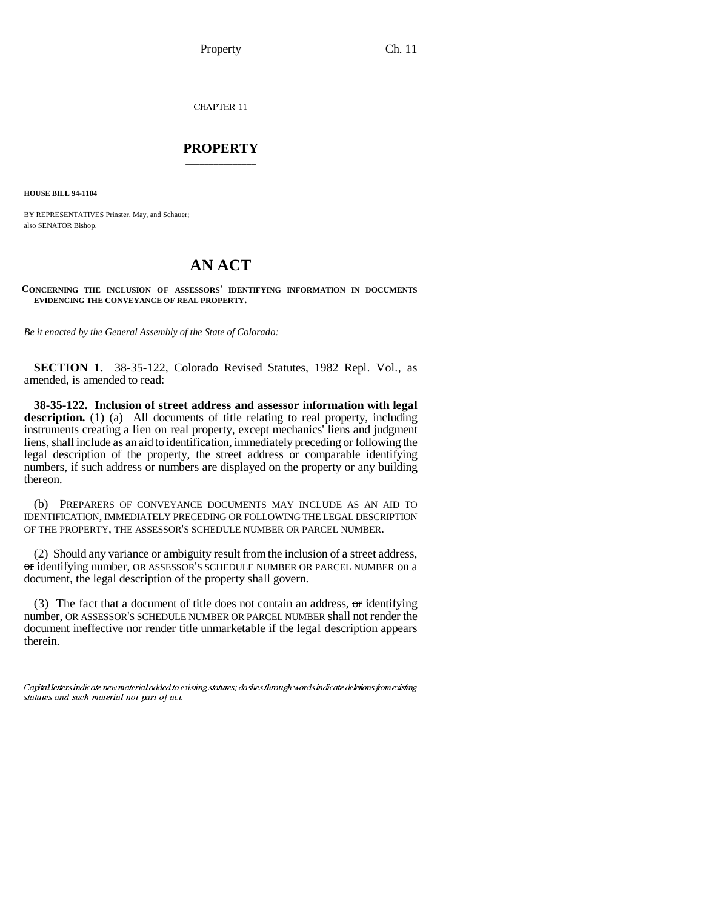CHAPTER 11

## \_\_\_\_\_\_\_\_\_\_\_\_\_\_\_ **PROPERTY** \_\_\_\_\_\_\_\_\_\_\_\_\_\_\_

**HOUSE BILL 94-1104**

BY REPRESENTATIVES Prinster, May, and Schauer; also SENATOR Bishop.

## **AN ACT**

**CONCERNING THE INCLUSION OF ASSESSORS' IDENTIFYING INFORMATION IN DOCUMENTS EVIDENCING THE CONVEYANCE OF REAL PROPERTY.**

*Be it enacted by the General Assembly of the State of Colorado:*

**SECTION 1.** 38-35-122, Colorado Revised Statutes, 1982 Repl. Vol., as amended, is amended to read:

**38-35-122. Inclusion of street address and assessor information with legal** description. (1) (a) All documents of title relating to real property, including instruments creating a lien on real property, except mechanics' liens and judgment liens, shall include as an aid to identification, immediately preceding or following the legal description of the property, the street address or comparable identifying numbers, if such address or numbers are displayed on the property or any building thereon.

(b) PREPARERS OF CONVEYANCE DOCUMENTS MAY INCLUDE AS AN AID TO IDENTIFICATION, IMMEDIATELY PRECEDING OR FOLLOWING THE LEGAL DESCRIPTION OF THE PROPERTY, THE ASSESSOR'S SCHEDULE NUMBER OR PARCEL NUMBER.

(2) Should any variance or ambiguity result from the inclusion of a street address, or identifying number, OR ASSESSOR'S SCHEDULE NUMBER OR PARCEL NUMBER on a document, the legal description of the property shall govern.

(3) The fact that a document of title does not contain an address,  $\sigma$  identifying number, OR ASSESSOR'S SCHEDULE NUMBER OR PARCEL NUMBER shall not render the document ineffective nor render title unmarketable if the legal description appears therein.

Capital letters indicate new material added to existing statutes; dashes through words indicate deletions from existing statutes and such material not part of act.